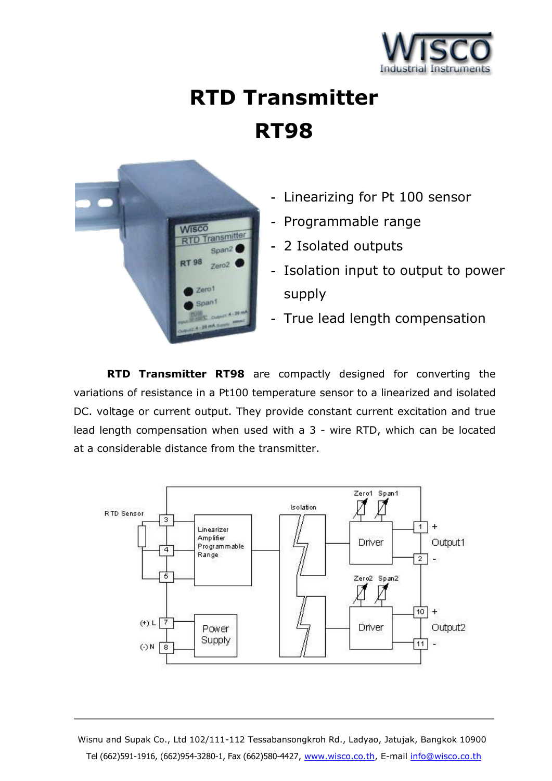

# **RTD Transmitter RT98**



- **-** Linearizing for Pt 100 sensor
- **-** Programmable range
- **-** 2 Isolated outputs
- **-** Isolation input to output to power supply
- **-** True lead length compensation

**RTD Transmitter RT98** are compactly designed for converting the variations of resistance in a Pt100 temperature sensor to a linearized and isolated DC. voltage or current output. They provide constant current excitation and true lead length compensation when used with a 3 - wire RTD, which can be located at a considerable distance from the transmitter.



Wisnu and Supak Co., Ltd 102/111-112 Tessabansongkroh Rd., Ladyao, Jatujak, Bangkok 10900 Tel (662)591-1916, (662)954-3280-1, Fax (662)580-4427, www.wisco.co.th, E-mail info@wisco.co.th